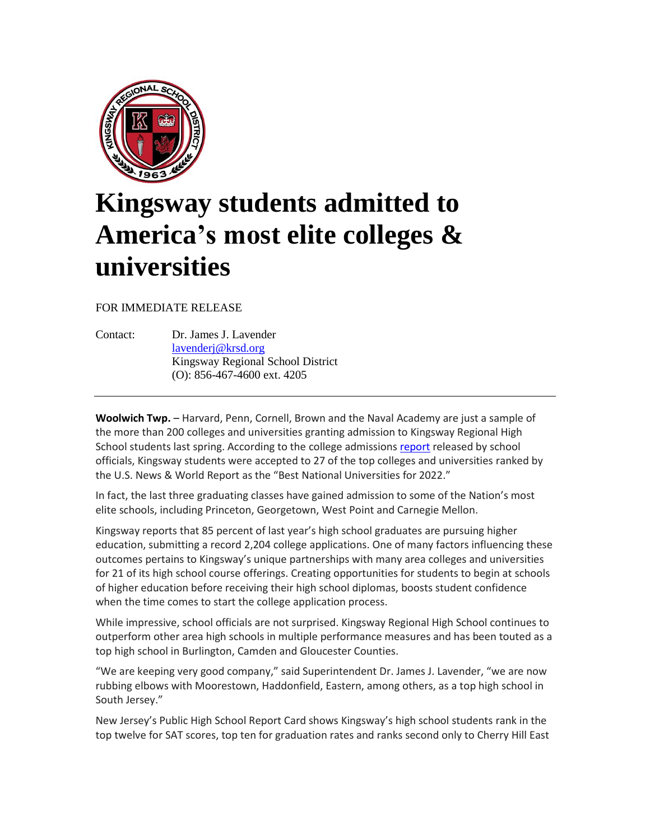

## **Kingsway students admitted to America's most elite colleges & universities**

FOR IMMEDIATE RELEASE

Contact: Dr. James J. Lavender [lavenderj@krsd.org](mailto:lavenderj@krsd.org) Kingsway Regional School District (O): 856-467-4600 ext. 4205

**Woolwich Twp.** – Harvard, Penn, Cornell, Brown and the Naval Academy are just a sample of the more than 200 colleges and universities granting admission to Kingsway Regional High School students last spring. According to the college admission[s report](https://docs.google.com/viewerng/viewer?url=https://www.krsd.org/cms/lib/NJ01912751/Centricity/Domain/120/College_Acceptance_3-19.pdf) released by school officials, Kingsway students were accepted to 27 of the top colleges and universities ranked by the U.S. News & World Report as the "Best National Universities for 2022."

In fact, the last three graduating classes have gained admission to some of the Nation's most elite schools, including Princeton, Georgetown, West Point and Carnegie Mellon.

Kingsway reports that 85 percent of last year's high school graduates are pursuing higher education, submitting a record 2,204 college applications. One of many factors influencing these outcomes pertains to Kingsway's unique partnerships with many area colleges and universities for 21 of its high school course offerings. Creating opportunities for students to begin at schools of higher education before receiving their high school diplomas, boosts student confidence when the time comes to start the college application process.

While impressive, school officials are not surprised. Kingsway Regional High School continues to outperform other area high schools in multiple performance measures and has been touted as a top high school in Burlington, Camden and Gloucester Counties.

"We are keeping very good company," said Superintendent Dr. James J. Lavender, "we are now rubbing elbows with Moorestown, Haddonfield, Eastern, among others, as a top high school in South Jersey."

New Jersey's Public High School Report Card shows Kingsway's high school students rank in the top twelve for SAT scores, top ten for graduation rates and ranks second only to Cherry Hill East